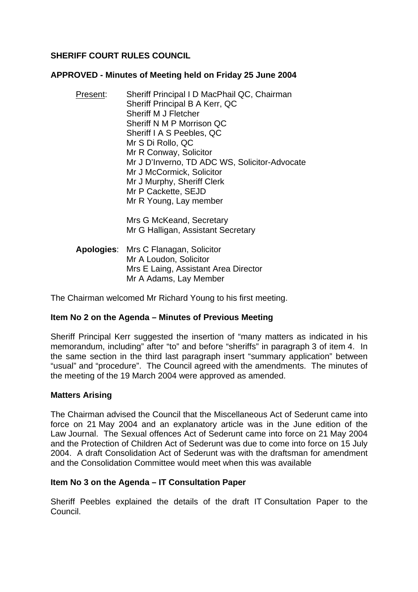# **SHERIFF COURT RULES COUNCIL**

#### **APPROVED - Minutes of Meeting held on Friday 25 June 2004**

Present: Sheriff Principal I D MacPhail QC, Chairman Sheriff Principal B A Kerr, QC Sheriff M J Fletcher Sheriff N M P Morrison QC Sheriff I A S Peebles, QC Mr S Di Rollo, QC Mr R Conway, Solicitor Mr J D'Inverno, TD ADC WS, Solicitor-Advocate Mr J McCormick, Solicitor Mr J Murphy, Sheriff Clerk Mr P Cackette, SEJD Mr R Young, Lay member

> Mrs G McKeand, Secretary Mr G Halligan, Assistant Secretary

**Apologies**: Mrs C Flanagan, Solicitor Mr A Loudon, Solicitor Mrs E Laing, Assistant Area Director Mr A Adams, Lay Member

The Chairman welcomed Mr Richard Young to his first meeting.

### **Item No 2 on the Agenda – Minutes of Previous Meeting**

Sheriff Principal Kerr suggested the insertion of "many matters as indicated in his memorandum, including" after "to" and before "sheriffs" in paragraph 3 of item 4. In the same section in the third last paragraph insert "summary application" between "usual" and "procedure". The Council agreed with the amendments. The minutes of the meeting of the 19 March 2004 were approved as amended.

### **Matters Arising**

The Chairman advised the Council that the Miscellaneous Act of Sederunt came into force on 21 May 2004 and an explanatory article was in the June edition of the Law Journal. The Sexual offences Act of Sederunt came into force on 21 May 2004 and the Protection of Children Act of Sederunt was due to come into force on 15 July 2004. A draft Consolidation Act of Sederunt was with the draftsman for amendment and the Consolidation Committee would meet when this was available

### **Item No 3 on the Agenda – IT Consultation Paper**

Sheriff Peebles explained the details of the draft IT Consultation Paper to the Council.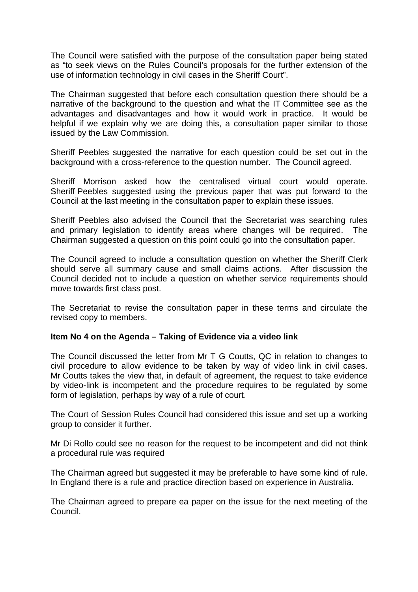The Council were satisfied with the purpose of the consultation paper being stated as "to seek views on the Rules Council's proposals for the further extension of the use of information technology in civil cases in the Sheriff Court".

The Chairman suggested that before each consultation question there should be a narrative of the background to the question and what the IT Committee see as the advantages and disadvantages and how it would work in practice. It would be helpful if we explain why we are doing this, a consultation paper similar to those issued by the Law Commission.

Sheriff Peebles suggested the narrative for each question could be set out in the background with a cross-reference to the question number. The Council agreed.

Sheriff Morrison asked how the centralised virtual court would operate. Sheriff Peebles suggested using the previous paper that was put forward to the Council at the last meeting in the consultation paper to explain these issues.

Sheriff Peebles also advised the Council that the Secretariat was searching rules and primary legislation to identify areas where changes will be required. The Chairman suggested a question on this point could go into the consultation paper.

The Council agreed to include a consultation question on whether the Sheriff Clerk should serve all summary cause and small claims actions. After discussion the Council decided not to include a question on whether service requirements should move towards first class post.

The Secretariat to revise the consultation paper in these terms and circulate the revised copy to members.

### **Item No 4 on the Agenda – Taking of Evidence via a video link**

The Council discussed the letter from Mr T G Coutts, QC in relation to changes to civil procedure to allow evidence to be taken by way of video link in civil cases. Mr Coutts takes the view that, in default of agreement, the request to take evidence by video-link is incompetent and the procedure requires to be regulated by some form of legislation, perhaps by way of a rule of court.

The Court of Session Rules Council had considered this issue and set up a working group to consider it further.

Mr Di Rollo could see no reason for the request to be incompetent and did not think a procedural rule was required

The Chairman agreed but suggested it may be preferable to have some kind of rule. In England there is a rule and practice direction based on experience in Australia.

The Chairman agreed to prepare ea paper on the issue for the next meeting of the Council.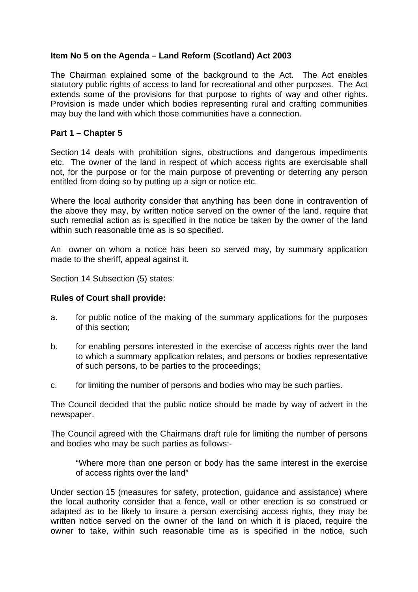# **Item No 5 on the Agenda – Land Reform (Scotland) Act 2003**

The Chairman explained some of the background to the Act. The Act enables statutory public rights of access to land for recreational and other purposes. The Act extends some of the provisions for that purpose to rights of way and other rights. Provision is made under which bodies representing rural and crafting communities may buy the land with which those communities have a connection.

### **Part 1 – Chapter 5**

Section 14 deals with prohibition signs, obstructions and dangerous impediments etc. The owner of the land in respect of which access rights are exercisable shall not, for the purpose or for the main purpose of preventing or deterring any person entitled from doing so by putting up a sign or notice etc.

Where the local authority consider that anything has been done in contravention of the above they may, by written notice served on the owner of the land, require that such remedial action as is specified in the notice be taken by the owner of the land within such reasonable time as is so specified.

An owner on whom a notice has been so served may, by summary application made to the sheriff, appeal against it.

Section 14 Subsection (5) states:

### **Rules of Court shall provide:**

- a. for public notice of the making of the summary applications for the purposes of this section;
- b. for enabling persons interested in the exercise of access rights over the land to which a summary application relates, and persons or bodies representative of such persons, to be parties to the proceedings;
- c. for limiting the number of persons and bodies who may be such parties.

The Council decided that the public notice should be made by way of advert in the newspaper.

The Council agreed with the Chairmans draft rule for limiting the number of persons and bodies who may be such parties as follows:-

"Where more than one person or body has the same interest in the exercise of access rights over the land"

Under section 15 (measures for safety, protection, guidance and assistance) where the local authority consider that a fence, wall or other erection is so construed or adapted as to be likely to insure a person exercising access rights, they may be written notice served on the owner of the land on which it is placed, require the owner to take, within such reasonable time as is specified in the notice, such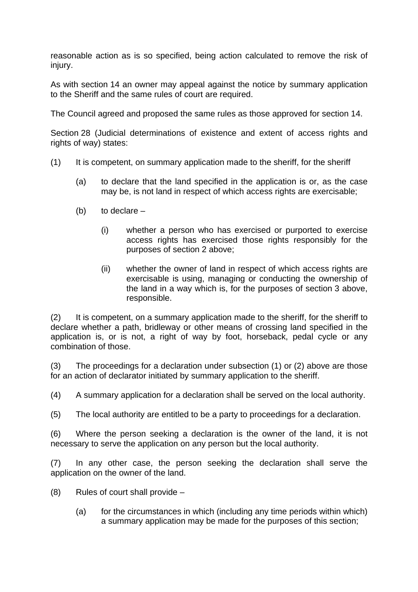reasonable action as is so specified, being action calculated to remove the risk of injury.

As with section 14 an owner may appeal against the notice by summary application to the Sheriff and the same rules of court are required.

The Council agreed and proposed the same rules as those approved for section 14.

Section 28 (Judicial determinations of existence and extent of access rights and rights of way) states:

- (1) It is competent, on summary application made to the sheriff, for the sheriff
	- (a) to declare that the land specified in the application is or, as the case may be, is not land in respect of which access rights are exercisable;
	- $(b)$  to declare  $-$ 
		- (i) whether a person who has exercised or purported to exercise access rights has exercised those rights responsibly for the purposes of section 2 above;
		- (ii) whether the owner of land in respect of which access rights are exercisable is using, managing or conducting the ownership of the land in a way which is, for the purposes of section 3 above, responsible.

(2) It is competent, on a summary application made to the sheriff, for the sheriff to declare whether a path, bridleway or other means of crossing land specified in the application is, or is not, a right of way by foot, horseback, pedal cycle or any combination of those.

(3) The proceedings for a declaration under subsection (1) or (2) above are those for an action of declarator initiated by summary application to the sheriff.

(4) A summary application for a declaration shall be served on the local authority.

(5) The local authority are entitled to be a party to proceedings for a declaration.

(6) Where the person seeking a declaration is the owner of the land, it is not necessary to serve the application on any person but the local authority.

(7) In any other case, the person seeking the declaration shall serve the application on the owner of the land.

- (8) Rules of court shall provide
	- (a) for the circumstances in which (including any time periods within which) a summary application may be made for the purposes of this section;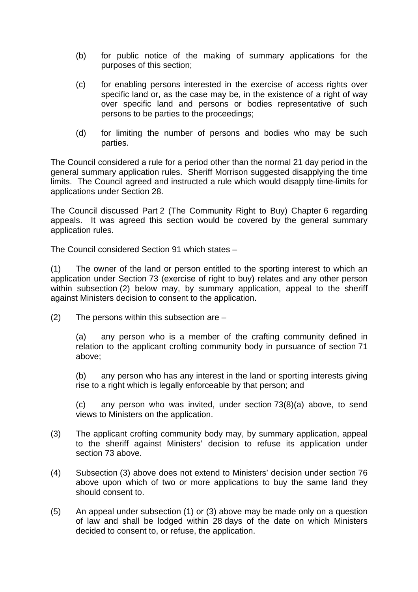- (b) for public notice of the making of summary applications for the purposes of this section;
- (c) for enabling persons interested in the exercise of access rights over specific land or, as the case may be, in the existence of a right of way over specific land and persons or bodies representative of such persons to be parties to the proceedings;
- (d) for limiting the number of persons and bodies who may be such parties.

The Council considered a rule for a period other than the normal 21 day period in the general summary application rules. Sheriff Morrison suggested disapplying the time limits. The Council agreed and instructed a rule which would disapply time-limits for applications under Section 28.

The Council discussed Part 2 (The Community Right to Buy) Chapter 6 regarding appeals. It was agreed this section would be covered by the general summary application rules.

The Council considered Section 91 which states –

(1) The owner of the land or person entitled to the sporting interest to which an application under Section 73 (exercise of right to buy) relates and any other person within subsection (2) below may, by summary application, appeal to the sheriff against Ministers decision to consent to the application.

 $(2)$  The persons within this subsection are  $-$ 

(a) any person who is a member of the crafting community defined in relation to the applicant crofting community body in pursuance of section 71 above;

(b) any person who has any interest in the land or sporting interests giving rise to a right which is legally enforceable by that person; and

(c) any person who was invited, under section 73(8)(a) above, to send views to Ministers on the application.

- (3) The applicant crofting community body may, by summary application, appeal to the sheriff against Ministers' decision to refuse its application under section 73 above.
- (4) Subsection (3) above does not extend to Ministers' decision under section 76 above upon which of two or more applications to buy the same land they should consent to.
- (5) An appeal under subsection (1) or (3) above may be made only on a question of law and shall be lodged within 28 days of the date on which Ministers decided to consent to, or refuse, the application.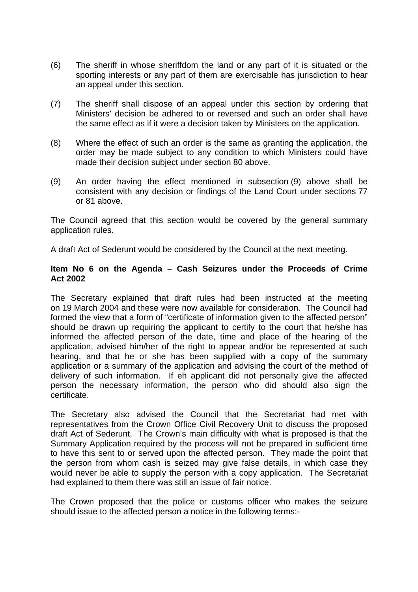- (6) The sheriff in whose sheriffdom the land or any part of it is situated or the sporting interests or any part of them are exercisable has jurisdiction to hear an appeal under this section.
- (7) The sheriff shall dispose of an appeal under this section by ordering that Ministers' decision be adhered to or reversed and such an order shall have the same effect as if it were a decision taken by Ministers on the application.
- (8) Where the effect of such an order is the same as granting the application, the order may be made subject to any condition to which Ministers could have made their decision subject under section 80 above.
- (9) An order having the effect mentioned in subsection (9) above shall be consistent with any decision or findings of the Land Court under sections 77 or 81 above.

The Council agreed that this section would be covered by the general summary application rules.

A draft Act of Sederunt would be considered by the Council at the next meeting.

#### **Item No 6 on the Agenda – Cash Seizures under the Proceeds of Crime Act 2002**

The Secretary explained that draft rules had been instructed at the meeting on 19 March 2004 and these were now available for consideration. The Council had formed the view that a form of "certificate of information given to the affected person" should be drawn up requiring the applicant to certify to the court that he/she has informed the affected person of the date, time and place of the hearing of the application, advised him/her of the right to appear and/or be represented at such hearing, and that he or she has been supplied with a copy of the summary application or a summary of the application and advising the court of the method of delivery of such information. If eh applicant did not personally give the affected person the necessary information, the person who did should also sign the certificate.

The Secretary also advised the Council that the Secretariat had met with representatives from the Crown Office Civil Recovery Unit to discuss the proposed draft Act of Sederunt. The Crown's main difficulty with what is proposed is that the Summary Application required by the process will not be prepared in sufficient time to have this sent to or served upon the affected person. They made the point that the person from whom cash is seized may give false details, in which case they would never be able to supply the person with a copy application. The Secretariat had explained to them there was still an issue of fair notice.

The Crown proposed that the police or customs officer who makes the seizure should issue to the affected person a notice in the following terms:-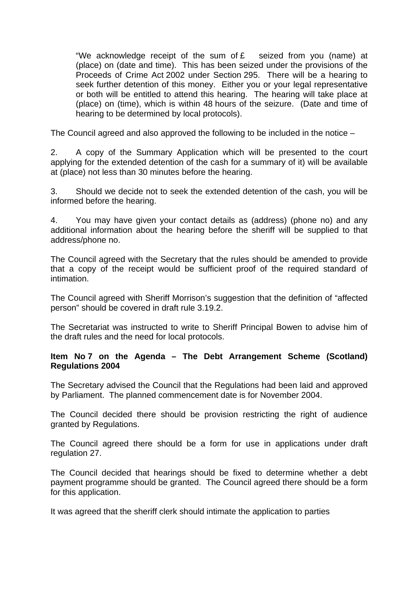"We acknowledge receipt of the sum of  $E$  seized from you (name) at (place) on (date and time). This has been seized under the provisions of the Proceeds of Crime Act 2002 under Section 295. There will be a hearing to seek further detention of this money. Either you or your legal representative or both will be entitled to attend this hearing. The hearing will take place at (place) on (time), which is within 48 hours of the seizure. (Date and time of hearing to be determined by local protocols).

The Council agreed and also approved the following to be included in the notice –

2. A copy of the Summary Application which will be presented to the court applying for the extended detention of the cash for a summary of it) will be available at (place) not less than 30 minutes before the hearing.

3. Should we decide not to seek the extended detention of the cash, you will be informed before the hearing.

4. You may have given your contact details as (address) (phone no) and any additional information about the hearing before the sheriff will be supplied to that address/phone no.

The Council agreed with the Secretary that the rules should be amended to provide that a copy of the receipt would be sufficient proof of the required standard of intimation.

The Council agreed with Sheriff Morrison's suggestion that the definition of "affected person" should be covered in draft rule 3.19.2.

The Secretariat was instructed to write to Sheriff Principal Bowen to advise him of the draft rules and the need for local protocols.

# **Item No 7 on the Agenda – The Debt Arrangement Scheme (Scotland) Regulations 2004**

The Secretary advised the Council that the Regulations had been laid and approved by Parliament. The planned commencement date is for November 2004.

The Council decided there should be provision restricting the right of audience granted by Regulations.

The Council agreed there should be a form for use in applications under draft regulation 27.

The Council decided that hearings should be fixed to determine whether a debt payment programme should be granted. The Council agreed there should be a form for this application.

It was agreed that the sheriff clerk should intimate the application to parties